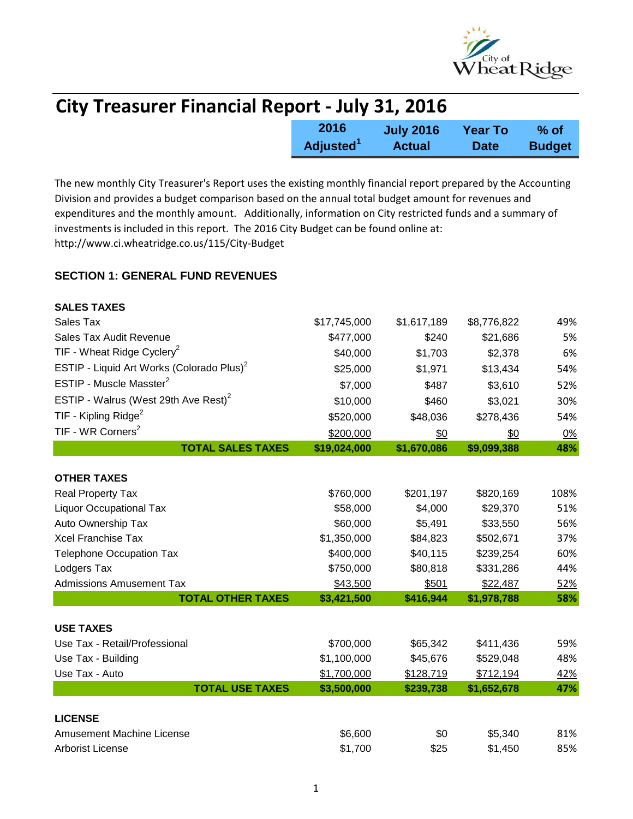

| <b>City Treasurer Financial Report - July 31, 2016</b> |                  |                |               |  |
|--------------------------------------------------------|------------------|----------------|---------------|--|
| 2016                                                   | <b>July 2016</b> | <b>Year To</b> | % of          |  |
| Adjusted <sup>1</sup>                                  | <b>Actual</b>    | <b>Date</b>    | <b>Budget</b> |  |

The new monthly City Treasurer's Report uses the existing monthly financial report prepared by the Accounting Division and provides a budget comparison based on the annual total budget amount for revenues and expenditures and the monthly amount. Additionally, information on City restricted funds and a summary of investments is included in this report. The 2016 City Budget can be found online at: http://www.ci.wheatridge.co.us/115/City-Budget

### **SECTION 1: GENERAL FUND REVENUES**

| <b>SALES TAXES</b>                                    |              |             |             |      |
|-------------------------------------------------------|--------------|-------------|-------------|------|
| Sales Tax                                             | \$17,745,000 | \$1,617,189 | \$8,776,822 | 49%  |
| Sales Tax Audit Revenue                               | \$477,000    | \$240       | \$21,686    | 5%   |
| TIF - Wheat Ridge Cyclery <sup>2</sup>                | \$40,000     | \$1,703     | \$2,378     | 6%   |
| ESTIP - Liquid Art Works (Colorado Plus) <sup>2</sup> | \$25,000     | \$1,971     | \$13,434    | 54%  |
| ESTIP - Muscle Masster <sup>2</sup>                   | \$7,000      | \$487       | \$3,610     | 52%  |
| ESTIP - Walrus (West 29th Ave Rest) <sup>2</sup>      | \$10,000     | \$460       | \$3,021     | 30%  |
| TIF - Kipling Ridge <sup>2</sup>                      | \$520,000    | \$48,036    | \$278,436   | 54%  |
| TIF - WR Corners <sup>2</sup>                         | \$200,000    | \$0         | \$0         | 0%   |
| <b>TOTAL SALES TAXES</b>                              | \$19,024,000 | \$1,670,086 | \$9,099,388 | 48%  |
|                                                       |              |             |             |      |
| <b>OTHER TAXES</b>                                    |              |             |             |      |
| Real Property Tax                                     | \$760,000    | \$201,197   | \$820,169   | 108% |
| <b>Liquor Occupational Tax</b>                        | \$58,000     | \$4,000     | \$29,370    | 51%  |
| Auto Ownership Tax                                    | \$60,000     | \$5,491     | \$33,550    | 56%  |
| <b>Xcel Franchise Tax</b>                             | \$1,350,000  | \$84,823    | \$502,671   | 37%  |
| <b>Telephone Occupation Tax</b>                       | \$400,000    | \$40,115    | \$239,254   | 60%  |
| Lodgers Tax                                           | \$750,000    | \$80,818    | \$331,286   | 44%  |
| <b>Admissions Amusement Tax</b>                       | \$43,500     | \$501       | \$22,487    | 52%  |
| <b>TOTAL OTHER TAXES</b>                              | \$3,421,500  | \$416,944   | \$1,978,788 | 58%  |
|                                                       |              |             |             |      |
| <b>USE TAXES</b>                                      |              |             |             |      |
| Use Tax - Retail/Professional                         | \$700,000    | \$65,342    | \$411,436   | 59%  |
| Use Tax - Building                                    | \$1,100,000  | \$45,676    | \$529,048   | 48%  |
| Use Tax - Auto                                        | \$1,700,000  | \$128,719   | \$712,194   | 42%  |
| <b>TOTAL USE TAXES</b>                                | \$3,500,000  | \$239,738   | \$1,652,678 | 47%  |
| <b>LICENSE</b>                                        |              |             |             |      |
| <b>Amusement Machine License</b>                      | \$6,600      | \$0         | \$5,340     | 81%  |
| <b>Arborist License</b>                               | \$1,700      | \$25        | \$1,450     | 85%  |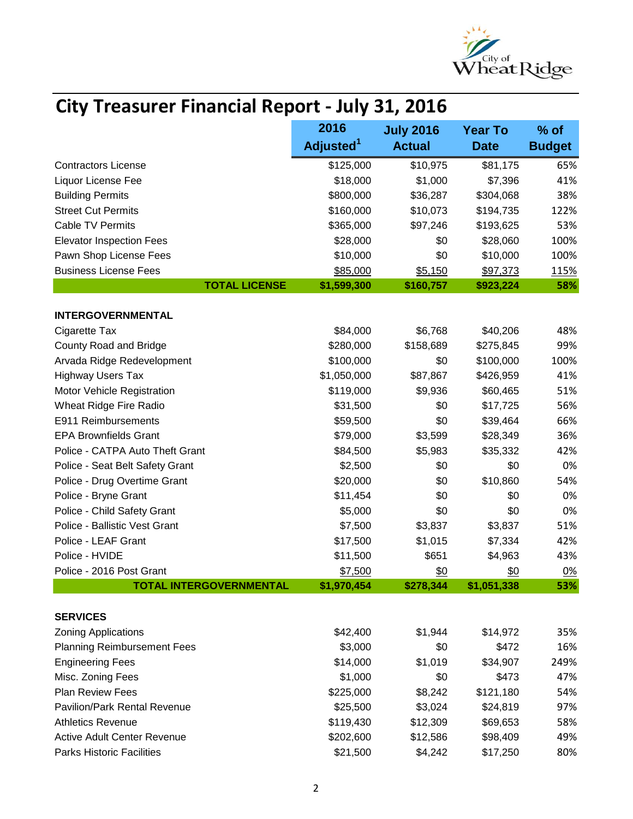

# **City Treasurer Financial Report - July 31, 2016**

|                                     | 2016                  | <b>July 2016</b> | <b>Year To</b> | $%$ of        |
|-------------------------------------|-----------------------|------------------|----------------|---------------|
|                                     | Adjusted <sup>1</sup> | <b>Actual</b>    | <b>Date</b>    | <b>Budget</b> |
| <b>Contractors License</b>          | \$125,000             | \$10,975         | \$81,175       | 65%           |
| Liquor License Fee                  | \$18,000              | \$1,000          | \$7,396        | 41%           |
| <b>Building Permits</b>             | \$800,000             | \$36,287         | \$304,068      | 38%           |
| <b>Street Cut Permits</b>           | \$160,000             | \$10,073         | \$194,735      | 122%          |
| <b>Cable TV Permits</b>             | \$365,000             | \$97,246         | \$193,625      | 53%           |
| <b>Elevator Inspection Fees</b>     | \$28,000              | \$0              | \$28,060       | 100%          |
| Pawn Shop License Fees              | \$10,000              | \$0              | \$10,000       | 100%          |
| <b>Business License Fees</b>        | \$85,000              | \$5,150          | \$97,373       | 115%          |
| <b>TOTAL LICENSE</b>                | \$1,599,300           | \$160,757        | \$923,224      | 58%           |
| <b>INTERGOVERNMENTAL</b>            |                       |                  |                |               |
| Cigarette Tax                       | \$84,000              | \$6,768          | \$40,206       | 48%           |
| County Road and Bridge              | \$280,000             | \$158,689        | \$275,845      | 99%           |
| Arvada Ridge Redevelopment          | \$100,000             | \$0              | \$100,000      | 100%          |
| <b>Highway Users Tax</b>            | \$1,050,000           | \$87,867         | \$426,959      | 41%           |
| Motor Vehicle Registration          | \$119,000             | \$9,936          | \$60,465       | 51%           |
| Wheat Ridge Fire Radio              | \$31,500              | \$0              | \$17,725       | 56%           |
| E911 Reimbursements                 | \$59,500              | \$0              | \$39,464       | 66%           |
| <b>EPA Brownfields Grant</b>        | \$79,000              | \$3,599          | \$28,349       | 36%           |
| Police - CATPA Auto Theft Grant     | \$84,500              | \$5,983          | \$35,332       | 42%           |
| Police - Seat Belt Safety Grant     | \$2,500               | \$0              | \$0            | 0%            |
| Police - Drug Overtime Grant        | \$20,000              | \$0              | \$10,860       | 54%           |
| Police - Bryne Grant                | \$11,454              | \$0              | \$0            | 0%            |
| Police - Child Safety Grant         | \$5,000               | \$0              | \$0            | 0%            |
| Police - Ballistic Vest Grant       | \$7,500               | \$3,837          | \$3,837        | 51%           |
| Police - LEAF Grant                 | \$17,500              | \$1,015          | \$7,334        | 42%           |
| Police - HVIDE                      | \$11,500              | \$651            | \$4,963        | 43%           |
| Police - 2016 Post Grant            | \$7,500               | \$0              | \$0            | 0%            |
| <b>TOTAL INTERGOVERNMENTAL</b>      | \$1,970,454           | \$278,344        | \$1,051,338    | 53%           |
|                                     |                       |                  |                |               |
| <b>SERVICES</b>                     |                       |                  |                |               |
| <b>Zoning Applications</b>          | \$42,400              | \$1,944          | \$14,972       | 35%           |
| <b>Planning Reimbursement Fees</b>  | \$3,000               | \$0              | \$472          | 16%           |
| <b>Engineering Fees</b>             | \$14,000              | \$1,019          | \$34,907       | 249%          |
| Misc. Zoning Fees                   | \$1,000               | \$0              | \$473          | 47%           |
| Plan Review Fees                    | \$225,000             | \$8,242          | \$121,180      | 54%           |
| <b>Pavilion/Park Rental Revenue</b> | \$25,500              | \$3,024          | \$24,819       | 97%           |
| <b>Athletics Revenue</b>            | \$119,430             | \$12,309         | \$69,653       | 58%           |
| <b>Active Adult Center Revenue</b>  | \$202,600             | \$12,586         | \$98,409       | 49%           |
| <b>Parks Historic Facilities</b>    | \$21,500              | \$4,242          | \$17,250       | 80%           |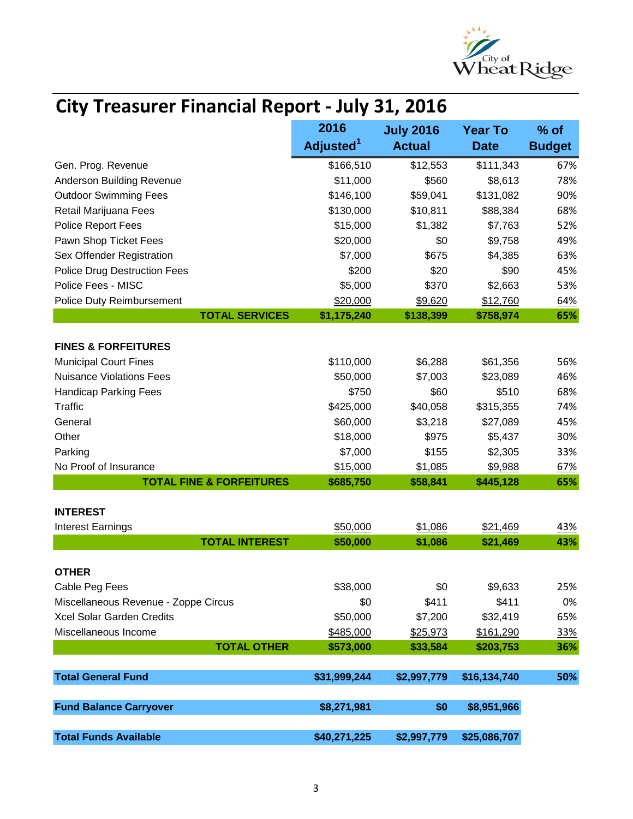

# **City Treasurer Financial Report - July 31, 2016**

|                                      | 2016                  | <b>July 2016</b> | <b>Year To</b> | $%$ of        |
|--------------------------------------|-----------------------|------------------|----------------|---------------|
|                                      | Adjusted <sup>1</sup> | <b>Actual</b>    | <b>Date</b>    | <b>Budget</b> |
| Gen. Prog. Revenue                   | \$166,510             | \$12,553         | \$111,343      | 67%           |
| <b>Anderson Building Revenue</b>     | \$11,000              | \$560            | \$8,613        | 78%           |
| <b>Outdoor Swimming Fees</b>         | \$146,100             | \$59,041         | \$131,082      | 90%           |
| Retail Marijuana Fees                | \$130,000             | \$10,811         | \$88,384       | 68%           |
| Police Report Fees                   | \$15,000              | \$1,382          | \$7,763        | 52%           |
| Pawn Shop Ticket Fees                | \$20,000              | \$0              | \$9,758        | 49%           |
| Sex Offender Registration            | \$7,000               | \$675            | \$4,385        | 63%           |
| <b>Police Drug Destruction Fees</b>  | \$200                 | \$20             | \$90           | 45%           |
| Police Fees - MISC                   | \$5,000               | \$370            | \$2,663        | 53%           |
| Police Duty Reimbursement            | \$20,000              | \$9,620          | \$12,760       | 64%           |
| <b>TOTAL SERVICES</b>                | \$1,175,240           | \$138,399        | \$758,974      | 65%           |
| <b>FINES &amp; FORFEITURES</b>       |                       |                  |                |               |
| <b>Municipal Court Fines</b>         | \$110,000             | \$6,288          | \$61,356       | 56%           |
| <b>Nuisance Violations Fees</b>      | \$50,000              | \$7,003          | \$23,089       | 46%           |
| <b>Handicap Parking Fees</b>         | \$750                 | \$60             | \$510          | 68%           |
| <b>Traffic</b>                       | \$425,000             | \$40,058         | \$315,355      | 74%           |
| General                              | \$60,000              | \$3,218          | \$27,089       | 45%           |
| Other                                | \$18,000              | \$975            | \$5,437        | 30%           |
| Parking                              | \$7,000               | \$155            | \$2,305        | 33%           |
| No Proof of Insurance                | \$15,000              | \$1,085          | \$9,988        | 67%           |
| <b>TOTAL FINE &amp; FORFEITURES</b>  | \$685,750             | \$58,841         | \$445,128      | 65%           |
| <b>INTEREST</b>                      |                       |                  |                |               |
| <b>Interest Earnings</b>             | \$50,000              | \$1,086          | \$21,469       | 43%           |
| <b>TOTAL INTEREST</b>                | \$50,000              | \$1,086          | \$21,469       | 43%           |
|                                      |                       |                  |                |               |
| <b>OTHER</b>                         |                       |                  |                |               |
| Cable Peg Fees                       | \$38,000              | \$0              | \$9,633        | 25%           |
| Miscellaneous Revenue - Zoppe Circus | \$0                   | \$411            | \$411          | 0%            |
| Xcel Solar Garden Credits            | \$50,000              | \$7,200          | \$32,419       | 65%           |
| Miscellaneous Income                 | \$485,000             | \$25,973         | \$161,290      | 33%           |
| <b>TOTAL OTHER</b>                   | \$573,000             | \$33,584         | \$203,753      | 36%           |
| <b>Total General Fund</b>            | \$31,999,244          | \$2,997,779      | \$16,134,740   | 50%           |
|                                      |                       |                  |                |               |
| <b>Fund Balance Carryover</b>        | \$8,271,981           | \$0              | \$8,951,966    |               |
| <b>Total Funds Available</b>         | \$40,271,225          | \$2,997,779      | \$25,086,707   |               |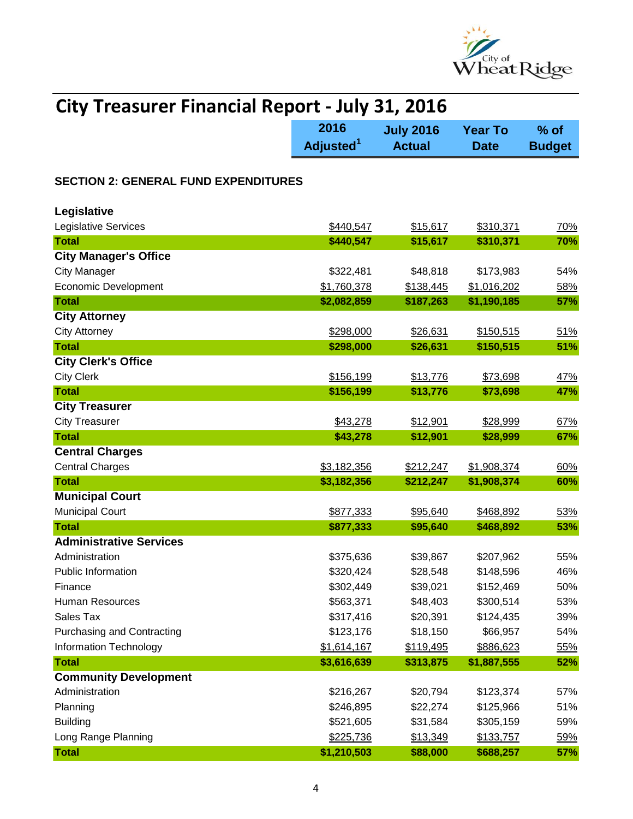

| <b>City Treasurer Financial Report - July 31, 2016</b> |                               |                                   |                               |                         |  |
|--------------------------------------------------------|-------------------------------|-----------------------------------|-------------------------------|-------------------------|--|
|                                                        | 2016<br>Adjusted <sup>1</sup> | <b>July 2016</b><br><b>Actual</b> | <b>Year To</b><br><b>Date</b> | $%$ of<br><b>Budget</b> |  |
| <b>SECTION 2: GENERAL FUND EXPENDITURES</b>            |                               |                                   |                               |                         |  |
| Legislative                                            |                               |                                   |                               |                         |  |
| Legislative Services                                   | \$440,547                     | \$15,617                          | \$310,371                     | 70%                     |  |
| <b>Total</b>                                           | \$440,547                     | \$15,617                          | \$310,371                     | 70%                     |  |
| <b>City Manager's Office</b>                           |                               |                                   |                               |                         |  |
| <b>City Manager</b>                                    | \$322,481                     | \$48,818                          | \$173,983                     | 54%                     |  |
| <b>Economic Development</b>                            | \$1,760,378                   | \$138,445                         | \$1,016,202                   | 58%                     |  |
| <b>Total</b>                                           | \$2,082,859                   | \$187,263                         | \$1,190,185                   | 57%                     |  |
| <b>City Attorney</b>                                   |                               |                                   |                               |                         |  |
| <b>City Attorney</b>                                   | \$298,000                     | \$26,631                          | \$150,515                     | 51%                     |  |
| <b>Total</b>                                           | \$298,000                     | \$26,631                          | \$150,515                     | 51%                     |  |
| <b>City Clerk's Office</b>                             |                               |                                   |                               |                         |  |
| <b>City Clerk</b>                                      | \$156,199                     | \$13,776                          | \$73,698                      | 47%                     |  |
| <b>Total</b>                                           | \$156,199                     | \$13,776                          | \$73,698                      | 47%                     |  |
| <b>City Treasurer</b>                                  |                               |                                   |                               |                         |  |
| <b>City Treasurer</b>                                  | \$43,278                      | \$12,901                          | \$28,999                      | 67%                     |  |
| <b>Total</b>                                           | \$43,278                      | \$12,901                          | \$28,999                      | 67%                     |  |
| <b>Central Charges</b>                                 |                               |                                   |                               |                         |  |
| <b>Central Charges</b>                                 | \$3,182,356                   | \$212,247                         | \$1,908,374                   | 60%                     |  |
| <b>Total</b>                                           | \$3,182,356                   | \$212,247                         | \$1,908,374                   | 60%                     |  |
| <b>Municipal Court</b>                                 |                               |                                   |                               |                         |  |
| <b>Municipal Court</b>                                 | \$877,333                     | \$95,640                          | \$468,892                     | 53%                     |  |
| <b>Total</b>                                           | \$877,333                     | \$95,640                          | \$468,892                     | 53%                     |  |
| <b>Administrative Services</b>                         |                               |                                   |                               |                         |  |
| Administration                                         | \$375,636                     | \$39,867                          | \$207,962                     | 55%                     |  |
| <b>Public Information</b>                              | \$320,424                     | \$28,548                          | \$148,596                     | 46%                     |  |
| Finance                                                | \$302,449                     | \$39,021                          | \$152,469                     | 50%                     |  |
| <b>Human Resources</b>                                 | \$563,371                     | \$48,403                          | \$300,514                     | 53%                     |  |
| Sales Tax                                              | \$317,416                     | \$20,391                          | \$124,435                     | 39%                     |  |
| <b>Purchasing and Contracting</b>                      | \$123,176                     | \$18,150                          | \$66,957                      | 54%                     |  |
| Information Technology                                 | \$1,614,167                   | \$119,495                         | \$886,623                     | 55%                     |  |
| <b>Total</b>                                           | \$3,616,639                   | \$313,875                         | \$1,887,555                   | 52%                     |  |
| <b>Community Development</b>                           |                               |                                   |                               |                         |  |
| Administration                                         | \$216,267                     | \$20,794                          | \$123,374                     | 57%                     |  |
| Planning                                               | \$246,895                     | \$22,274                          | \$125,966                     | 51%                     |  |
| <b>Building</b>                                        | \$521,605                     | \$31,584                          | \$305,159                     | 59%                     |  |
| Long Range Planning                                    | \$225,736                     | \$13,349                          | \$133,757                     | 59%                     |  |
| <b>Total</b>                                           | \$1,210,503                   | \$88,000                          | \$688,257                     | 57%                     |  |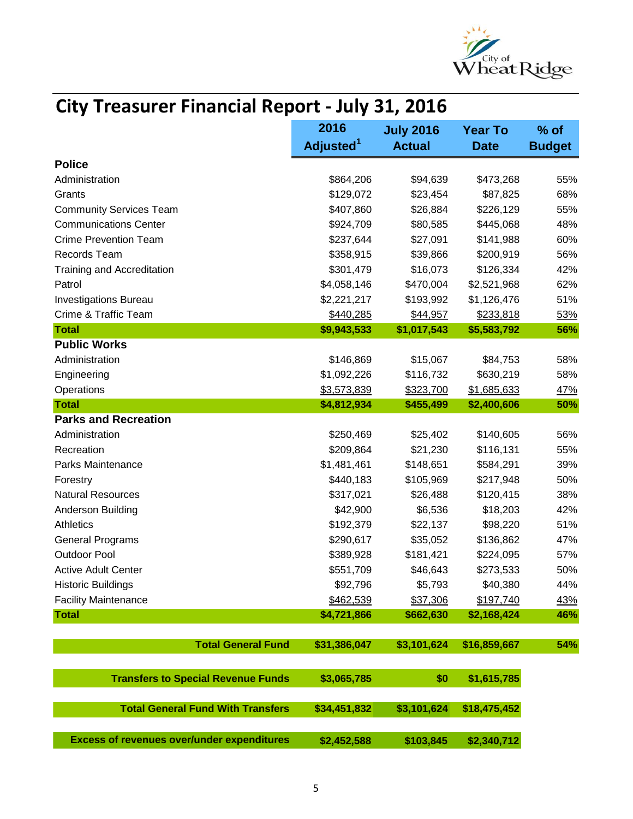

## **City Treasurer Financial Report - July 31, 2016**

|                                                   | 2016<br>Adjusted <sup>1</sup> | <b>July 2016</b><br><b>Actual</b> | <b>Year To</b><br><b>Date</b> | % of          |
|---------------------------------------------------|-------------------------------|-----------------------------------|-------------------------------|---------------|
|                                                   |                               |                                   |                               | <b>Budget</b> |
| <b>Police</b>                                     |                               |                                   |                               |               |
| Administration                                    | \$864,206                     | \$94,639                          | \$473,268                     | 55%           |
| Grants                                            | \$129,072                     | \$23,454                          | \$87,825                      | 68%           |
| <b>Community Services Team</b>                    | \$407,860                     | \$26,884                          | \$226,129                     | 55%           |
| <b>Communications Center</b>                      | \$924,709                     | \$80,585                          | \$445,068                     | 48%           |
| <b>Crime Prevention Team</b>                      | \$237,644                     | \$27,091                          | \$141,988                     | 60%           |
| Records Team                                      | \$358,915                     | \$39,866                          | \$200,919                     | 56%           |
| <b>Training and Accreditation</b>                 | \$301,479                     | \$16,073                          | \$126,334                     | 42%           |
| Patrol                                            | \$4,058,146                   | \$470,004                         | \$2,521,968                   | 62%           |
| <b>Investigations Bureau</b>                      | \$2,221,217                   | \$193,992                         | \$1,126,476                   | 51%           |
| Crime & Traffic Team                              | \$440,285                     | \$44,957                          | \$233,818                     | 53%           |
| <b>Total</b>                                      | \$9,943,533                   | \$1,017,543                       | \$5,583,792                   | 56%           |
| <b>Public Works</b>                               |                               |                                   |                               |               |
| Administration                                    | \$146,869                     | \$15,067                          | \$84,753                      | 58%           |
| Engineering                                       | \$1,092,226                   | \$116,732                         | \$630,219                     | 58%           |
| Operations                                        | \$3,573,839                   | \$323,700                         | \$1,685,633                   | 47%           |
| <b>Total</b>                                      | \$4,812,934                   | \$455,499                         | \$2,400,606                   | 50%           |
| <b>Parks and Recreation</b>                       |                               |                                   |                               |               |
| Administration                                    | \$250,469                     | \$25,402                          | \$140,605                     | 56%           |
| Recreation                                        | \$209,864                     | \$21,230                          | \$116,131                     | 55%           |
| Parks Maintenance                                 | \$1,481,461                   | \$148,651                         | \$584,291                     | 39%           |
| Forestry                                          | \$440,183                     | \$105,969                         | \$217,948                     | 50%           |
| <b>Natural Resources</b>                          | \$317,021                     | \$26,488                          | \$120,415                     | 38%           |
| Anderson Building                                 | \$42,900                      | \$6,536                           | \$18,203                      | 42%           |
| <b>Athletics</b>                                  | \$192,379                     | \$22,137                          | \$98,220                      | 51%           |
| <b>General Programs</b>                           | \$290,617                     | \$35,052                          | \$136,862                     | 47%           |
| <b>Outdoor Pool</b>                               | \$389,928                     | \$181,421                         | \$224,095                     | 57%           |
| <b>Active Adult Center</b>                        | \$551,709                     | \$46,643                          | \$273,533                     | 50%           |
| <b>Historic Buildings</b>                         | \$92,796                      | \$5,793                           | \$40,380                      | 44%           |
| <b>Facility Maintenance</b>                       | \$462,539                     | \$37,306                          | \$197,740                     | 43%           |
| <b>Total</b>                                      | \$4,721,866                   | \$662,630                         | \$2,168,424                   | 46%           |
|                                                   |                               |                                   |                               |               |
| <b>Total General Fund</b>                         | \$31,386,047                  | \$3,101,624                       | \$16,859,667                  | 54%           |
| <b>Transfers to Special Revenue Funds</b>         | \$3,065,785                   | \$0                               | \$1,615,785                   |               |
| <b>Total General Fund With Transfers</b>          | \$34,451,832                  | \$3,101,624                       | \$18,475,452                  |               |
| <b>Excess of revenues over/under expenditures</b> | \$2,452,588                   | \$103,845                         | \$2,340,712                   |               |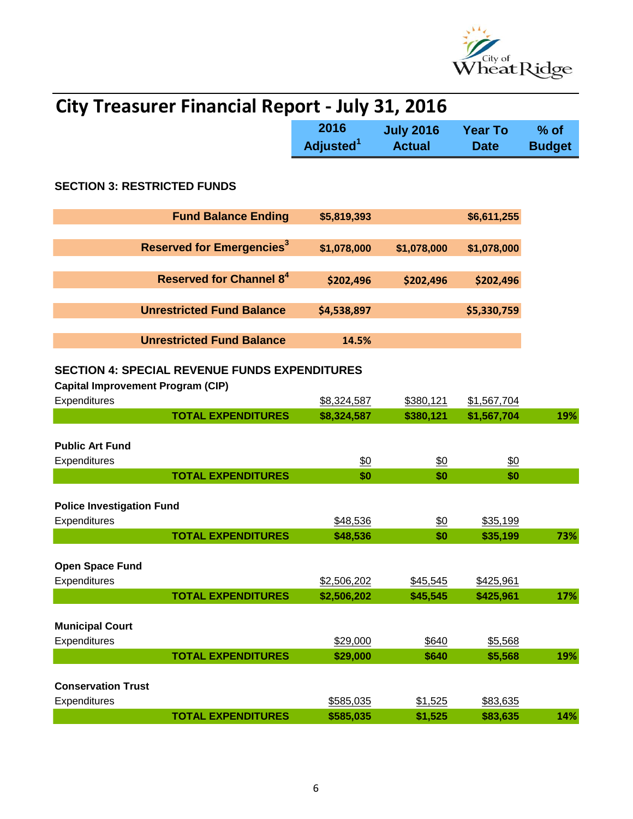

| <b>City Treasurer Financial Report - July 31, 2016</b>                                           |                               |                                   |                               |                         |  |  |
|--------------------------------------------------------------------------------------------------|-------------------------------|-----------------------------------|-------------------------------|-------------------------|--|--|
|                                                                                                  | 2016<br>Adjusted <sup>1</sup> | <b>July 2016</b><br><b>Actual</b> | <b>Year To</b><br><b>Date</b> | $%$ of<br><b>Budget</b> |  |  |
| <b>SECTION 3: RESTRICTED FUNDS</b>                                                               |                               |                                   |                               |                         |  |  |
| <b>Fund Balance Ending</b>                                                                       | \$5,819,393                   |                                   | \$6,611,255                   |                         |  |  |
| <b>Reserved for Emergencies<sup>3</sup></b>                                                      | \$1,078,000                   | \$1,078,000                       | \$1,078,000                   |                         |  |  |
| Reserved for Channel 8 <sup>4</sup>                                                              | \$202,496                     | \$202,496                         | \$202,496                     |                         |  |  |
| <b>Unrestricted Fund Balance</b>                                                                 | \$4,538,897                   |                                   | \$5,330,759                   |                         |  |  |
| <b>Unrestricted Fund Balance</b>                                                                 | 14.5%                         |                                   |                               |                         |  |  |
| <b>SECTION 4: SPECIAL REVENUE FUNDS EXPENDITURES</b><br><b>Capital Improvement Program (CIP)</b> |                               |                                   |                               |                         |  |  |
| Expenditures<br><b>TOTAL EXPENDITURES</b>                                                        | \$8,324,587<br>\$8,324,587    | \$380,121<br>\$380,121            | \$1,567,704<br>\$1,567,704    | 19%                     |  |  |
| <b>Public Art Fund</b><br>Expenditures<br><b>TOTAL EXPENDITURES</b>                              | \$0<br>\$0                    | \$0<br>\$0                        | \$0<br>\$0                    |                         |  |  |
| <b>Police Investigation Fund</b><br>Expenditures                                                 | \$48,536                      | $\underline{\$0}$                 | \$35,199                      |                         |  |  |
| <b>TOTAL EXPENDITURES</b>                                                                        | \$48,536                      | \$0                               | \$35,199                      | 73%                     |  |  |
| <b>Open Space Fund</b><br>Expenditures                                                           | \$2,506,202                   | \$45,545                          | \$425,961                     |                         |  |  |
| <b>TOTAL EXPENDITURES</b>                                                                        | \$2,506,202                   | \$45,545                          | \$425,961                     | 17%                     |  |  |
| <b>Municipal Court</b><br>Expenditures<br><b>TOTAL EXPENDITURES</b>                              | \$29,000<br>\$29,000          | \$640<br>\$640                    | \$5,568<br>\$5,568            | 19%                     |  |  |
| <b>Conservation Trust</b><br>Expenditures<br><b>TOTAL EXPENDITURES</b>                           | \$585,035<br>\$585,035        | \$1,525<br>\$1,525                | \$83,635<br>\$83,635          | 14%                     |  |  |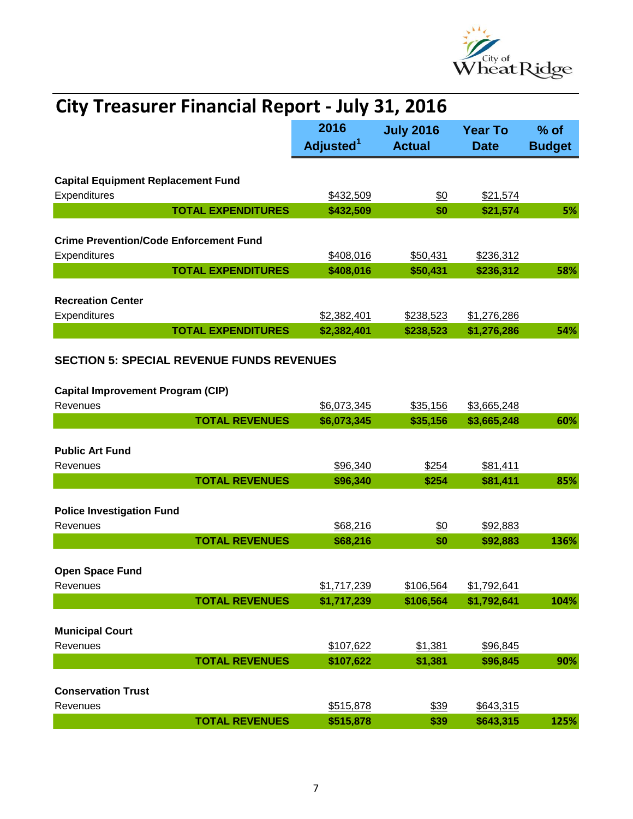

| <b>City Treasurer Financial Report - July 31, 2016</b> |                               |                                   |                               |                         |  |
|--------------------------------------------------------|-------------------------------|-----------------------------------|-------------------------------|-------------------------|--|
|                                                        | 2016<br>Adjusted <sup>1</sup> | <b>July 2016</b><br><b>Actual</b> | <b>Year To</b><br><b>Date</b> | $%$ of<br><b>Budget</b> |  |
| <b>Capital Equipment Replacement Fund</b>              |                               |                                   |                               |                         |  |
| Expenditures                                           | \$432,509                     | $\underline{\$0}$                 | \$21,574                      |                         |  |
| <b>TOTAL EXPENDITURES</b>                              | \$432,509                     | \$0                               | \$21,574                      | 5%                      |  |
|                                                        |                               |                                   |                               |                         |  |
| <b>Crime Prevention/Code Enforcement Fund</b>          |                               |                                   |                               |                         |  |
| Expenditures                                           | \$408,016                     | \$50,431                          | \$236,312                     |                         |  |
| <b>TOTAL EXPENDITURES</b>                              | \$408,016                     | \$50,431                          | \$236,312                     | 58%                     |  |
|                                                        |                               |                                   |                               |                         |  |
| <b>Recreation Center</b>                               |                               |                                   |                               |                         |  |
| Expenditures                                           | \$2,382,401                   | \$238,523                         | \$1,276,286                   |                         |  |
| <b>TOTAL EXPENDITURES</b>                              | \$2,382,401                   | \$238,523                         | \$1,276,286                   | 54%                     |  |
|                                                        |                               |                                   |                               |                         |  |
| <b>SECTION 5: SPECIAL REVENUE FUNDS REVENUES</b>       |                               |                                   |                               |                         |  |
|                                                        |                               |                                   |                               |                         |  |
| <b>Capital Improvement Program (CIP)</b>               |                               |                                   |                               |                         |  |
| Revenues                                               | \$6,073,345                   | \$35,156                          | \$3,665,248                   |                         |  |
| <b>TOTAL REVENUES</b>                                  | \$6,073,345                   | \$35,156                          | \$3,665,248                   | 60%                     |  |
|                                                        |                               |                                   |                               |                         |  |
| <b>Public Art Fund</b>                                 |                               |                                   |                               |                         |  |
| Revenues                                               | \$96,340                      | \$254                             | \$81,411                      |                         |  |
| <b>TOTAL REVENUES</b>                                  | \$96,340                      | \$254                             | \$81,411                      | 85%                     |  |
|                                                        |                               |                                   |                               |                         |  |
| <b>Police Investigation Fund</b>                       |                               |                                   |                               |                         |  |
| Revenues                                               | \$68,216                      | \$0                               | \$92,883                      |                         |  |
| <b>TOTAL REVENUES</b>                                  | \$68,216                      | \$0                               | \$92,883                      | 136%                    |  |
|                                                        |                               |                                   |                               |                         |  |
| <b>Open Space Fund</b>                                 |                               |                                   |                               |                         |  |
| Revenues                                               | \$1,717,239                   | \$106,564                         | \$1,792,641                   |                         |  |
| <b>TOTAL REVENUES</b>                                  | \$1,717,239                   | \$106,564                         | \$1,792,641                   | 104%                    |  |
|                                                        |                               |                                   |                               |                         |  |
| <b>Municipal Court</b>                                 |                               |                                   |                               |                         |  |
| Revenues<br><b>TOTAL REVENUES</b>                      | \$107,622<br>\$107,622        | \$1,381<br>\$1,381                | \$96,845<br>\$96,845          | 90%                     |  |
|                                                        |                               |                                   |                               |                         |  |
| <b>Conservation Trust</b>                              |                               |                                   |                               |                         |  |
| Revenues                                               | \$515,878                     | \$39                              | \$643,315                     |                         |  |
| <b>TOTAL REVENUES</b>                                  | \$515,878                     | \$39                              | \$643,315                     | 125%                    |  |
|                                                        |                               |                                   |                               |                         |  |